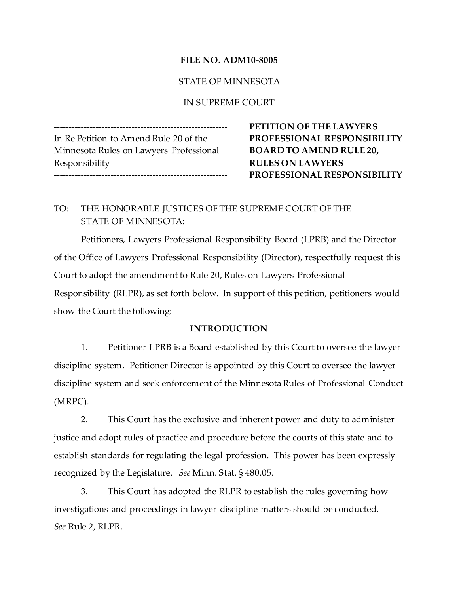### FILE NO. ADM10-8005

### STATE OF MINNESOTA

#### IN SUPREME COURT

In Re Petition to Amend Rule 20 of the PROFESSIONAL RESPONSIBILITY Minnesota Rules on Lawyers Professional BOARD TO AMEND RULE 20, Responsibility RULES ON LAWYERS

PETITION OF THE LAWYERS PROFESSIONAL RESPONSIBILITY

# TO: THE HONORABLE JUSTICES OF THE SUPREME COURT OF THE STATE OF MINNESOTA:

Petitioners, Lawyers Professional Responsibility Board (LPRB) and the Director of the Office of Lawyers Professional Responsibility (Director), respectfully request this Court to adopt the amendment to Rule 20, Rules on Lawyers Professional Responsibility (RLPR), as set forth below. In support of this petition, petitioners would show the Court the following:

#### INTRODUCTION

1. Petitioner LPRB is a Board established by this Court to oversee the lawyer discipline system. Petitioner Director is appointed by this Court to oversee the lawyer discipline system and seek enforcement of the Minnesota Rules of Professional Conduct (MRPC).

2. This Court has the exclusive and inherent power and duty to administer justice and adopt rules of practice and procedure before the courts of this state and to establish standards for regulating the legal profession. This power has been expressly recognized by the Legislature. See Minn. Stat. § 480.05.

3. This Court has adopted the RLPR to establish the rules governing how investigations and proceedings in lawyer discipline matters should be conducted. See Rule 2, RLPR.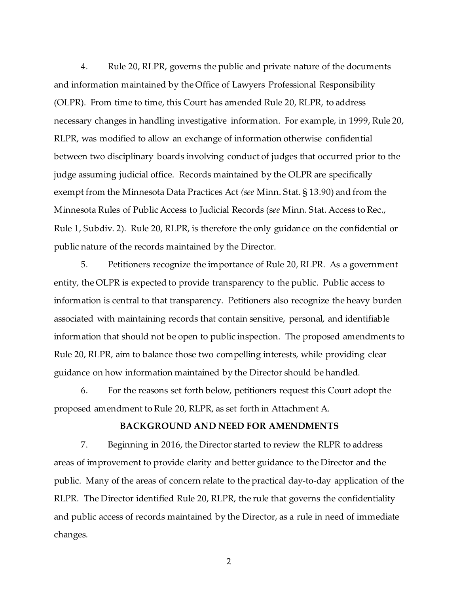4. Rule 20, RLPR, governs the public and private nature of the documents and information maintained by the Office of Lawyers Professional Responsibility (OLPR). From time to time, this Court has amended Rule 20, RLPR, to address necessary changes in handling investigative information. For example, in 1999, Rule 20, RLPR, was modified to allow an exchange of information otherwise confidential between two disciplinary boards involving conduct of judges that occurred prior to the judge assuming judicial office. Records maintained by the OLPR are specifically exempt from the Minnesota Data Practices Act (see Minn. Stat. § 13.90) and from the Minnesota Rules of Public Access to Judicial Records (see Minn. Stat. Access to Rec., Rule 1, Subdiv. 2). Rule 20, RLPR, is therefore the only guidance on the confidential or public nature of the records maintained by the Director.

5. Petitioners recognize the importance of Rule 20, RLPR. As a government entity, the OLPR is expected to provide transparency to the public. Public access to information is central to that transparency. Petitioners also recognize the heavy burden associated with maintaining records that contain sensitive, personal, and identifiable information that should not be open to public inspection. The proposed amendments to Rule 20, RLPR, aim to balance those two compelling interests, while providing clear guidance on how information maintained by the Director should be handled.

6. For the reasons set forth below, petitioners request this Court adopt the proposed amendment to Rule 20, RLPR, as set forth in Attachment A.

#### BACKGROUND AND NEED FOR AMENDMENTS

7. Beginning in 2016, the Director started to review the RLPR to address areas of improvement to provide clarity and better guidance to the Director and the public. Many of the areas of concern relate to the practical day-to-day application of the RLPR. The Director identified Rule 20, RLPR, the rule that governs the confidentiality and public access of records maintained by the Director, as a rule in need of immediate changes.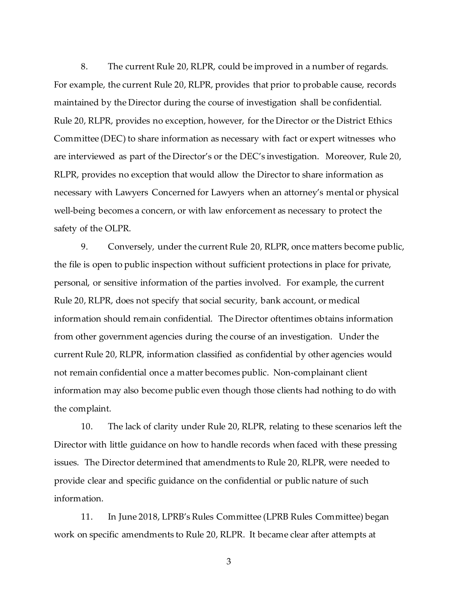8. The current Rule 20, RLPR, could be improved in a number of regards. For example, the current Rule 20, RLPR, provides that prior to probable cause, records maintained by the Director during the course of investigation shall be confidential. Rule 20, RLPR, provides no exception, however, for the Director or the District Ethics Committee (DEC) to share information as necessary with fact or expert witnesses who are interviewed as part of the Director's or the DEC's investigation. Moreover, Rule 20, RLPR, provides no exception that would allow the Director to share information as necessary with Lawyers Concerned for Lawyers when an attorney's mental or physical well-being becomes a concern, or with law enforcement as necessary to protect the safety of the OLPR.

9. Conversely, under the current Rule 20, RLPR, once matters become public, the file is open to public inspection without sufficient protections in place for private, personal, or sensitive information of the parties involved. For example, the current Rule 20, RLPR, does not specify that social security, bank account, or medical information should remain confidential. The Director oftentimes obtains information from other government agencies during the course of an investigation. Under the current Rule 20, RLPR, information classified as confidential by other agencies would not remain confidential once a matter becomes public. Non-complainant client information may also become public even though those clients had nothing to do with the complaint.

10. The lack of clarity under Rule 20, RLPR, relating to these scenarios left the Director with little guidance on how to handle records when faced with these pressing issues. The Director determined that amendments to Rule 20, RLPR, were needed to provide clear and specific guidance on the confidential or public nature of such information.

11. In June 2018, LPRB's Rules Committee (LPRB Rules Committee) began work on specific amendments to Rule 20, RLPR. It became clear after attempts at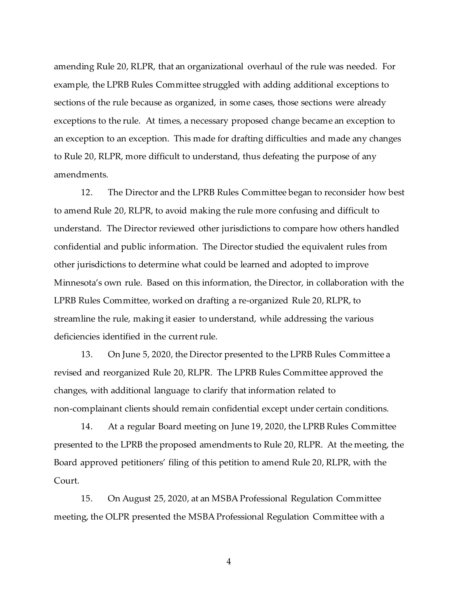amending Rule 20, RLPR, that an organizational overhaul of the rule was needed. For example, the LPRB Rules Committee struggled with adding additional exceptions to sections of the rule because as organized, in some cases, those sections were already exceptions to the rule. At times, a necessary proposed change became an exception to an exception to an exception. This made for drafting difficulties and made any changes to Rule 20, RLPR, more difficult to understand, thus defeating the purpose of any amendments.

12. The Director and the LPRB Rules Committee began to reconsider how best to amend Rule 20, RLPR, to avoid making the rule more confusing and difficult to understand. The Director reviewed other jurisdictions to compare how others handled confidential and public information. The Director studied the equivalent rules from other jurisdictions to determine what could be learned and adopted to improve Minnesota's own rule. Based on this information, the Director, in collaboration with the LPRB Rules Committee, worked on drafting a re-organized Rule 20, RLPR, to streamline the rule, making it easier to understand, while addressing the various deficiencies identified in the current rule.

13. On June 5, 2020, the Director presented to the LPRB Rules Committee a revised and reorganized Rule 20, RLPR. The LPRB Rules Committee approved the changes, with additional language to clarify that information related to non-complainant clients should remain confidential except under certain conditions.

14. At a regular Board meeting on June 19, 2020, the LPRB Rules Committee presented to the LPRB the proposed amendments to Rule 20, RLPR. At the meeting, the Board approved petitioners' filing of this petition to amend Rule 20, RLPR, with the Court.

15. On August 25, 2020, at an MSBA Professional Regulation Committee meeting, the OLPR presented the MSBA Professional Regulation Committee with a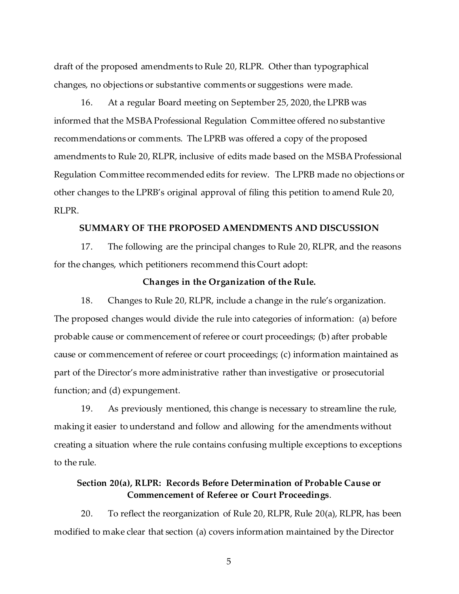draft of the proposed amendments to Rule 20, RLPR. Other than typographical changes, no objections or substantive comments or suggestions were made.

16. At a regular Board meeting on September 25, 2020, the LPRB was informed that the MSBA Professional Regulation Committee offered no substantive recommendations or comments. The LPRB was offered a copy of the proposed amendments to Rule 20, RLPR, inclusive of edits made based on the MSBA Professional Regulation Committee recommended edits for review. The LPRB made no objections or other changes to the LPRB's original approval of filing this petition to amend Rule 20, RLPR.

#### SUMMARY OF THE PROPOSED AMENDMENTS AND DISCUSSION

17. The following are the principal changes to Rule 20, RLPR, and the reasons for the changes, which petitioners recommend this Court adopt:

#### Changes in the Organization of the Rule.

18. Changes to Rule 20, RLPR, include a change in the rule's organization. The proposed changes would divide the rule into categories of information: (a) before probable cause or commencement of referee or court proceedings; (b) after probable cause or commencement of referee or court proceedings; (c) information maintained as part of the Director's more administrative rather than investigative or prosecutorial function; and (d) expungement.

19. As previously mentioned, this change is necessary to streamline the rule, making it easier to understand and follow and allowing for the amendments without creating a situation where the rule contains confusing multiple exceptions to exceptions to the rule.

## Section 20(a), RLPR: Records Before Determination of Probable Cause or Commencement of Referee or Court Proceedings.

20. To reflect the reorganization of Rule 20, RLPR, Rule 20(a), RLPR, has been modified to make clear that section (a) covers information maintained by the Director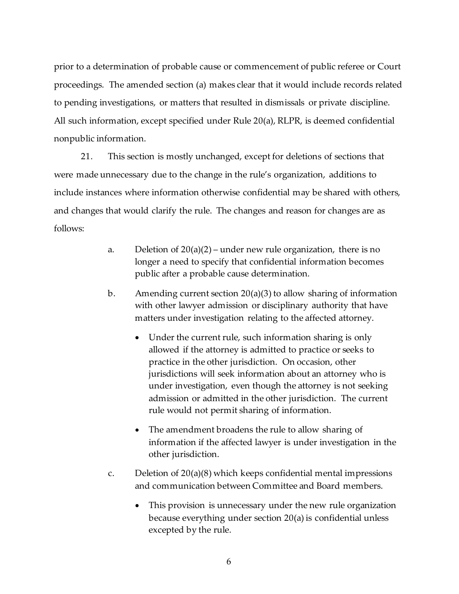prior to a determination of probable cause or commencement of public referee or Court proceedings. The amended section (a) makes clear that it would include records related to pending investigations, or matters that resulted in dismissals or private discipline. All such information, except specified under Rule 20(a), RLPR, is deemed confidential nonpublic information.

21. This section is mostly unchanged, except for deletions of sections that were made unnecessary due to the change in the rule's organization, additions to include instances where information otherwise confidential may be shared with others, and changes that would clarify the rule. The changes and reason for changes are as follows:

- a. Deletion of  $20(a)(2)$  under new rule organization, there is no longer a need to specify that confidential information becomes public after a probable cause determination.
- b. Amending current section  $20(a)(3)$  to allow sharing of information with other lawyer admission or disciplinary authority that have matters under investigation relating to the affected attorney.
	- Under the current rule, such information sharing is only allowed if the attorney is admitted to practice or seeks to practice in the other jurisdiction. On occasion, other jurisdictions will seek information about an attorney who is under investigation, even though the attorney is not seeking admission or admitted in the other jurisdiction. The current rule would not permit sharing of information.
	- The amendment broadens the rule to allow sharing of information if the affected lawyer is under investigation in the other jurisdiction.
- c. Deletion of 20(a)(8) which keeps confidential mental impressions and communication between Committee and Board members.
	- This provision is unnecessary under the new rule organization because everything under section 20(a) is confidential unless excepted by the rule.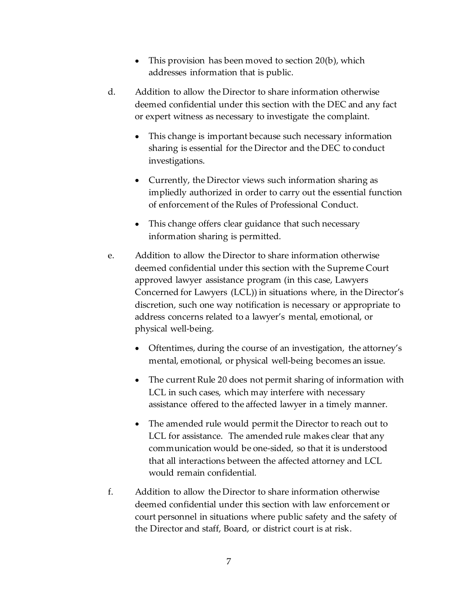- This provision has been moved to section 20(b), which addresses information that is public.
- d. Addition to allow the Director to share information otherwise deemed confidential under this section with the DEC and any fact or expert witness as necessary to investigate the complaint.
	- This change is important because such necessary information sharing is essential for the Director and the DEC to conduct investigations.
	- Currently, the Director views such information sharing as impliedly authorized in order to carry out the essential function of enforcement of the Rules of Professional Conduct.
	- This change offers clear guidance that such necessary information sharing is permitted.
- e. Addition to allow the Director to share information otherwise deemed confidential under this section with the Supreme Court approved lawyer assistance program (in this case, Lawyers Concerned for Lawyers (LCL)) in situations where, in the Director's discretion, such one way notification is necessary or appropriate to address concerns related to a lawyer's mental, emotional, or physical well-being.
	- Oftentimes, during the course of an investigation, the attorney's mental, emotional, or physical well-being becomes an issue.
	- The current Rule 20 does not permit sharing of information with LCL in such cases, which may interfere with necessary assistance offered to the affected lawyer in a timely manner.
	- The amended rule would permit the Director to reach out to LCL for assistance. The amended rule makes clear that any communication would be one-sided, so that it is understood that all interactions between the affected attorney and LCL would remain confidential.
- f. Addition to allow the Director to share information otherwise deemed confidential under this section with law enforcement or court personnel in situations where public safety and the safety of the Director and staff, Board, or district court is at risk.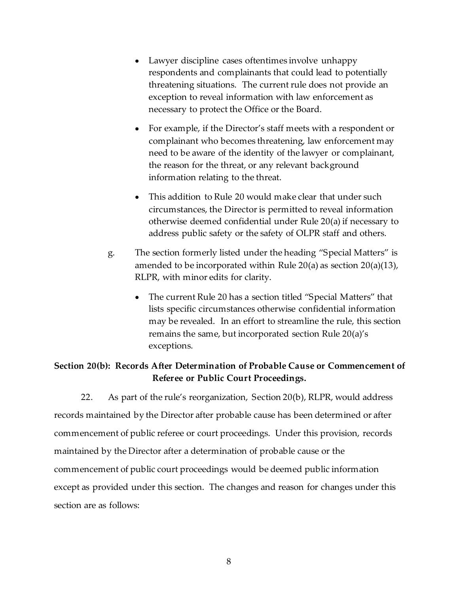- Lawyer discipline cases oftentimes involve unhappy respondents and complainants that could lead to potentially threatening situations. The current rule does not provide an exception to reveal information with law enforcement as necessary to protect the Office or the Board.
- For example, if the Director's staff meets with a respondent or complainant who becomes threatening, law enforcement may need to be aware of the identity of the lawyer or complainant, the reason for the threat, or any relevant background information relating to the threat.
- This addition to Rule 20 would make clear that under such circumstances, the Director is permitted to reveal information otherwise deemed confidential under Rule 20(a) if necessary to address public safety or the safety of OLPR staff and others.
- g. The section formerly listed under the heading "Special Matters" is amended to be incorporated within Rule 20(a) as section 20(a)(13), RLPR, with minor edits for clarity.
	- The current Rule 20 has a section titled "Special Matters" that lists specific circumstances otherwise confidential information may be revealed. In an effort to streamline the rule, this section remains the same, but incorporated section Rule 20(a)'s exceptions.

## Section 20(b): Records After Determination of Probable Cause or Commencement of Referee or Public Court Proceedings.

22. As part of the rule's reorganization, Section 20(b), RLPR, would address records maintained by the Director after probable cause has been determined or after commencement of public referee or court proceedings. Under this provision, records maintained by the Director after a determination of probable cause or the commencement of public court proceedings would be deemed public information except as provided under this section. The changes and reason for changes under this section are as follows: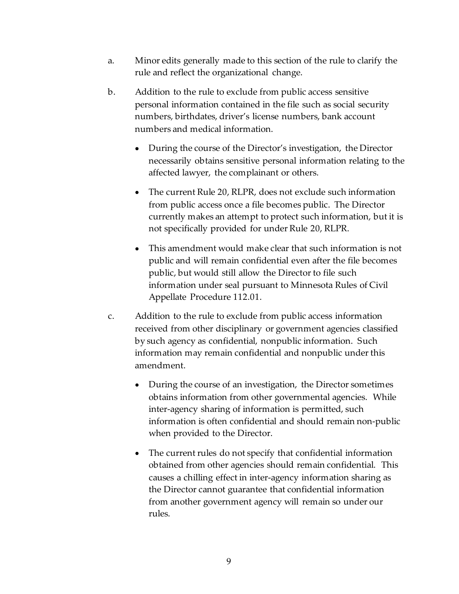- a. Minor edits generally made to this section of the rule to clarify the rule and reflect the organizational change.
- b. Addition to the rule to exclude from public access sensitive personal information contained in the file such as social security numbers, birthdates, driver's license numbers, bank account numbers and medical information.
	- During the course of the Director's investigation, the Director necessarily obtains sensitive personal information relating to the affected lawyer, the complainant or others.
	- The current Rule 20, RLPR, does not exclude such information from public access once a file becomes public. The Director currently makes an attempt to protect such information, but it is not specifically provided for under Rule 20, RLPR.
	- This amendment would make clear that such information is not public and will remain confidential even after the file becomes public, but would still allow the Director to file such information under seal pursuant to Minnesota Rules of Civil Appellate Procedure 112.01.
- c. Addition to the rule to exclude from public access information received from other disciplinary or government agencies classified by such agency as confidential, nonpublic information. Such information may remain confidential and nonpublic under this amendment.
	- During the course of an investigation, the Director sometimes obtains information from other governmental agencies. While inter-agency sharing of information is permitted, such information is often confidential and should remain non-public when provided to the Director.
	- The current rules do not specify that confidential information obtained from other agencies should remain confidential. This causes a chilling effect in inter-agency information sharing as the Director cannot guarantee that confidential information from another government agency will remain so under our rules.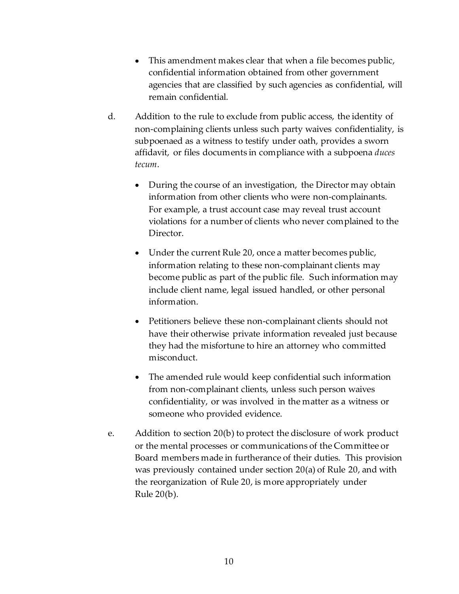- This amendment makes clear that when a file becomes public, confidential information obtained from other government agencies that are classified by such agencies as confidential, will remain confidential.
- d. Addition to the rule to exclude from public access, the identity of non-complaining clients unless such party waives confidentiality, is subpoenaed as a witness to testify under oath, provides a sworn affidavit, or files documents in compliance with a subpoena duces tecum.
	- During the course of an investigation, the Director may obtain information from other clients who were non-complainants. For example, a trust account case may reveal trust account violations for a number of clients who never complained to the Director.
	- Under the current Rule 20, once a matter becomes public, information relating to these non-complainant clients may become public as part of the public file. Such information may include client name, legal issued handled, or other personal information.
	- Petitioners believe these non-complainant clients should not have their otherwise private information revealed just because they had the misfortune to hire an attorney who committed misconduct.
	- The amended rule would keep confidential such information from non-complainant clients, unless such person waives confidentiality, or was involved in the matter as a witness or someone who provided evidence.
- e. Addition to section 20(b) to protect the disclosure of work product or the mental processes or communications of the Committee or Board members made in furtherance of their duties. This provision was previously contained under section 20(a) of Rule 20, and with the reorganization of Rule 20, is more appropriately under Rule 20(b).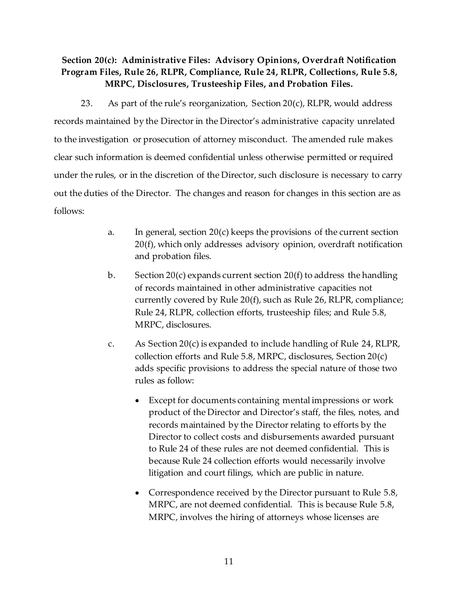# Section 20(c): Administrative Files: Advisory Opinions, Overdraft Notification Program Files, Rule 26, RLPR, Compliance, Rule 24, RLPR, Collections, Rule 5.8, MRPC, Disclosures, Trusteeship Files, and Probation Files.

23. As part of the rule's reorganization, Section  $20(c)$ , RLPR, would address records maintained by the Director in the Director's administrative capacity unrelated to the investigation or prosecution of attorney misconduct. The amended rule makes clear such information is deemed confidential unless otherwise permitted or required under the rules, or in the discretion of the Director, such disclosure is necessary to carry out the duties of the Director. The changes and reason for changes in this section are as follows:

- a. In general, section 20(c) keeps the provisions of the current section 20(f), which only addresses advisory opinion, overdraft notification and probation files.
- b. Section 20(c) expands current section 20(f) to address the handling of records maintained in other administrative capacities not currently covered by Rule 20(f), such as Rule 26, RLPR, compliance; Rule 24, RLPR, collection efforts, trusteeship files; and Rule 5.8, MRPC, disclosures.
- c. As Section 20(c) is expanded to include handling of Rule 24, RLPR, collection efforts and Rule 5.8, MRPC, disclosures, Section 20(c) adds specific provisions to address the special nature of those two rules as follow:
	- Except for documents containing mental impressions or work product of the Director and Director's staff, the files, notes, and records maintained by the Director relating to efforts by the Director to collect costs and disbursements awarded pursuant to Rule 24 of these rules are not deemed confidential. This is because Rule 24 collection efforts would necessarily involve litigation and court filings, which are public in nature.
	- Correspondence received by the Director pursuant to Rule 5.8, MRPC, are not deemed confidential. This is because Rule 5.8, MRPC, involves the hiring of attorneys whose licenses are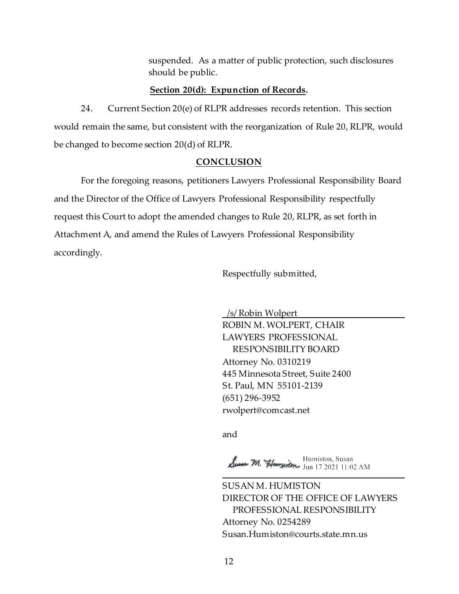suspended. As a matter of public protection, such disclosures should be public.

#### Section 20(d): Expunction of Records.

24. Current Section 20(e) of RLPR addresses records retention. This section would remain the same, but consistent with the reorganization of Rule 20, RLPR, would be changed to become section 20(d) of RLPR.

#### **CONCLUSION**

For the foregoing reasons, petitioners Lawyers Professional Responsibility Board and the Director of the Office of Lawyers Professional Responsibility respectfully request this Court to adopt the amended changes to Rule 20, RLPR, as set forth in Attachment A, and amend the Rules of Lawyers Professional Responsibility accordingly.

Respectfully submitted,

 /s/ Robin Wolpert ROBIN M. WOLPERT, CHAIR LAWYERS PROFESSIONAL RESPONSIBILITY BOARD Attorney No. 0310219 445 Minnesota Street, Suite 2400 St. Paul, MN 55101-2139 (651) 296-3952 rwolpert@comcast.net

and and state of the state of the state of the state of the state of the state of the state of the state of the

Jusen M. Humzenton, Susan Humiston, Susan l

SUSAN M. HUMISTON DIRECTOR OF THE OFFICE OF LAWYERS PROFESSIONAL RESPONSIBILITY Attorney No. 0254289 Susan.Humiston@courts.state.mn.us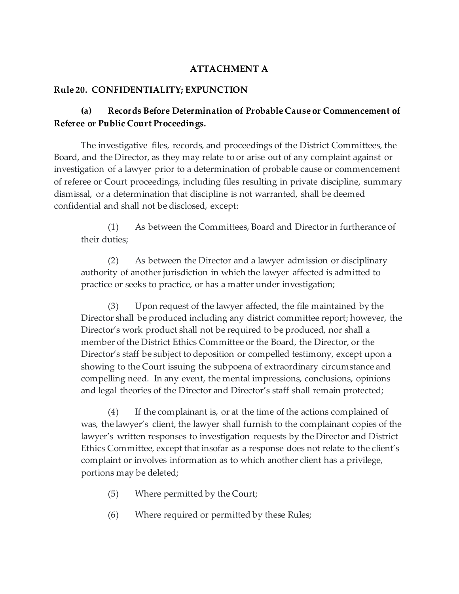## ATTACHMENT A

## Rule 20. CONFIDENTIALITY; EXPUNCTION

# (a) Records Before Determination of Probable Cause or Commencement of Referee or Public Court Proceedings.

The investigative files, records, and proceedings of the District Committees, the Board, and the Director, as they may relate to or arise out of any complaint against or investigation of a lawyer prior to a determination of probable cause or commencement of referee or Court proceedings, including files resulting in private discipline, summary dismissal, or a determination that discipline is not warranted, shall be deemed confidential and shall not be disclosed, except:

(1) As between the Committees, Board and Director in furtherance of their duties;

(2) As between the Director and a lawyer admission or disciplinary authority of another jurisdiction in which the lawyer affected is admitted to practice or seeks to practice, or has a matter under investigation;

(3) Upon request of the lawyer affected, the file maintained by the Director shall be produced including any district committee report; however, the Director's work product shall not be required to be produced, nor shall a member of the District Ethics Committee or the Board, the Director, or the Director's staff be subject to deposition or compelled testimony, except upon a showing to the Court issuing the subpoena of extraordinary circumstance and compelling need. In any event, the mental impressions, conclusions, opinions and legal theories of the Director and Director's staff shall remain protected;

(4) If the complainant is, or at the time of the actions complained of was, the lawyer's client, the lawyer shall furnish to the complainant copies of the lawyer's written responses to investigation requests by the Director and District Ethics Committee, except that insofar as a response does not relate to the client's complaint or involves information as to which another client has a privilege, portions may be deleted;

- (5) Where permitted by the Court;
- (6) Where required or permitted by these Rules;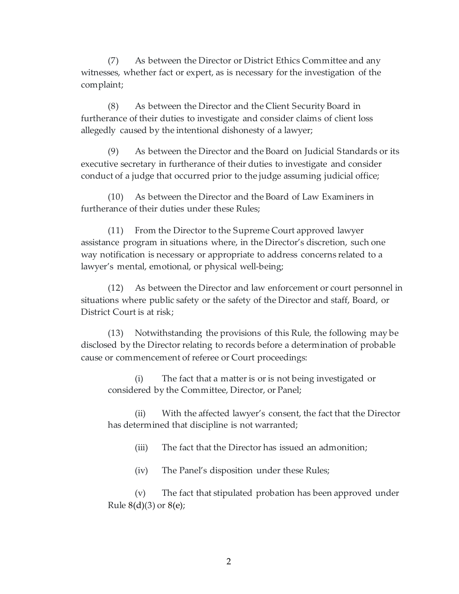(7) As between the Director or District Ethics Committee and any witnesses, whether fact or expert, as is necessary for the investigation of the complaint;

(8) As between the Director and the Client Security Board in furtherance of their duties to investigate and consider claims of client loss allegedly caused by the intentional dishonesty of a lawyer;

(9) As between the Director and the Board on Judicial Standards or its executive secretary in furtherance of their duties to investigate and consider conduct of a judge that occurred prior to the judge assuming judicial office;

(10) As between the Director and the Board of Law Examiners in furtherance of their duties under these Rules;

(11) From the Director to the Supreme Court approved lawyer assistance program in situations where, in the Director's discretion, such one way notification is necessary or appropriate to address concerns related to a lawyer's mental, emotional, or physical well-being;

(12) As between the Director and law enforcement or court personnel in situations where public safety or the safety of the Director and staff, Board, or District Court is at risk;

(13) Notwithstanding the provisions of this Rule, the following may be disclosed by the Director relating to records before a determination of probable cause or commencement of referee or Court proceedings:

(i) The fact that a matter is or is not being investigated or considered by the Committee, Director, or Panel;

(ii) With the affected lawyer's consent, the fact that the Director has determined that discipline is not warranted;

(iii) The fact that the Director has issued an admonition;

(iv) The Panel's disposition under these Rules;

(v) The fact that stipulated probation has been approved under Rule  $8(d)(3)$  or  $8(e)$ ;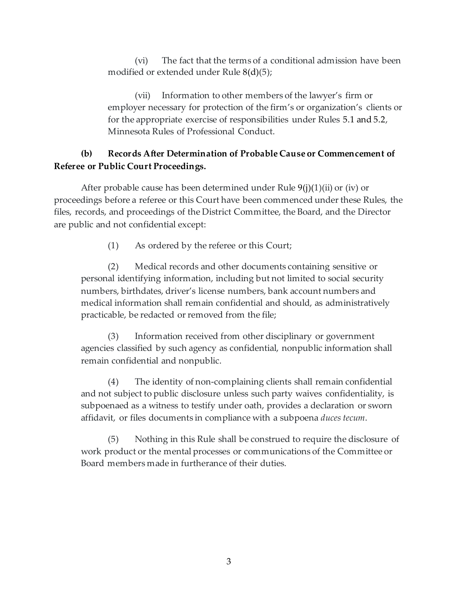(vi) The fact that the terms of a conditional admission have been modified or extended under Rule 8(d)(5);

(vii) Information to other members of the lawyer's firm or employer necessary for protection of the firm's or organization's clients or for the appropriate exercise of responsibilities under Rules 5.1 and 5.2, Minnesota Rules of Professional Conduct.

# (b) Records After Determination of Probable Cause or Commencement of Referee or Public Court Proceedings.

After probable cause has been determined under Rule  $9(j)(1)(ii)$  or (iv) or proceedings before a referee or this Court have been commenced under these Rules, the files, records, and proceedings of the District Committee, the Board, and the Director are public and not confidential except:

(1) As ordered by the referee or this Court;

(2) Medical records and other documents containing sensitive or personal identifying information, including but not limited to social security numbers, birthdates, driver's license numbers, bank account numbers and medical information shall remain confidential and should, as administratively practicable, be redacted or removed from the file;

(3) Information received from other disciplinary or government agencies classified by such agency as confidential, nonpublic information shall remain confidential and nonpublic.

(4) The identity of non-complaining clients shall remain confidential and not subject to public disclosure unless such party waives confidentiality, is subpoenaed as a witness to testify under oath, provides a declaration or sworn affidavit, or files documents in compliance with a subpoena duces tecum.

(5) Nothing in this Rule shall be construed to require the disclosure of work product or the mental processes or communications of the Committee or Board members made in furtherance of their duties.